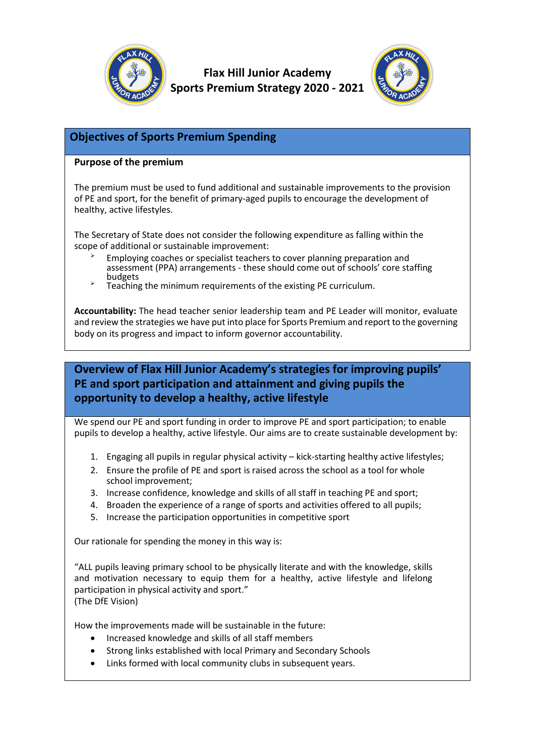

**Flax Hill Junior Academy Sports Premium Strategy 2020 - 2021**



### **Objectives of Sports Premium Spending**

#### **Purpose of the premium**

The premium must be used to fund additional and sustainable improvements to the provision of PE and sport, for the benefit of primary-aged pupils to encourage the development of healthy, active lifestyles.

The Secretary of State does not consider the following expenditure as falling within the scope of additional or sustainable improvement:

- Employing coaches or specialist teachers to cover planning preparation and assessment (PPA) arrangements - these should come out of schools' core staffing budgets
- Teaching the minimum requirements of the existing PE curriculum.

**Accountability:** The head teacher senior leadership team and PE Leader will monitor, evaluate and review the strategies we have put into place for Sports Premium and report to the governing body on its progress and impact to inform governor accountability.

# **Overview of Flax Hill Junior Academy's strategies for improving pupils' PE and sport participation and attainment and giving pupils the opportunity to develop a healthy, active lifestyle**

We spend our PE and sport funding in order to improve PE and sport participation; to enable pupils to develop a healthy, active lifestyle. Our aims are to create sustainable development by:

- 1. Engaging all pupils in regular physical activity kick-starting healthy active lifestyles;
- 2. Ensure the profile of PE and sport is raised across the school as a tool for whole school improvement;
- 3. Increase confidence, knowledge and skills of all staff in teaching PE and sport;
- 4. Broaden the experience of a range of sports and activities offered to all pupils;
- 5. Increase the participation opportunities in competitive sport

Our rationale for spending the money in this way is:

"ALL pupils leaving primary school to be physically literate and with the knowledge, skills and motivation necessary to equip them for a healthy, active lifestyle and lifelong participation in physical activity and sport." (The DfE Vision)

How the improvements made will be sustainable in the future:

- Increased knowledge and skills of all staff members
- Strong links established with local Primary and Secondary Schools
- Links formed with local community clubs in subsequent years.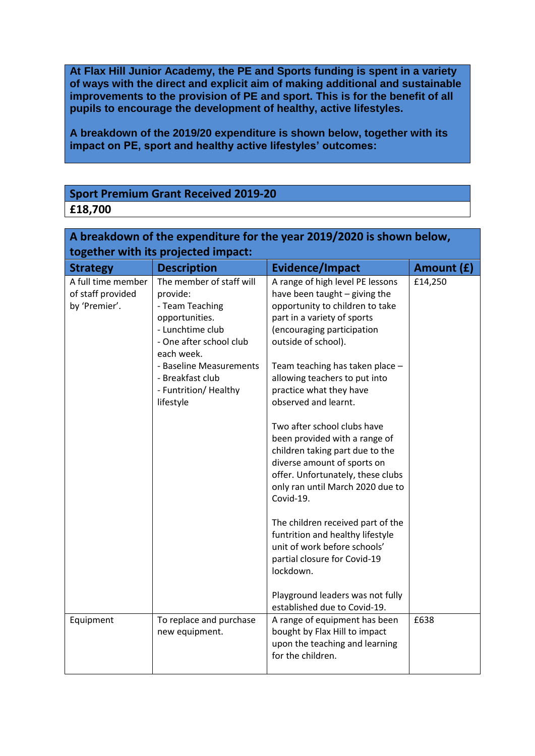**At Flax Hill Junior Academy, the PE and Sports funding is spent in a variety of ways with the direct and explicit aim of making additional and sustainable improvements to the provision of PE and sport. This is for the benefit of all pupils to encourage the development of healthy, active lifestyles.**

**A breakdown of the 2019/20 expenditure is shown below, together with its impact on PE, sport and healthy active lifestyles' outcomes:**

# **Sport Premium Grant Received 2019-20 £18,700**

| A breakdown of the expenditure for the year 2019/2020 is shown below, |                                                                                   |                                                                                                                                                                                                                      |            |  |  |  |  |
|-----------------------------------------------------------------------|-----------------------------------------------------------------------------------|----------------------------------------------------------------------------------------------------------------------------------------------------------------------------------------------------------------------|------------|--|--|--|--|
| together with its projected impact:                                   |                                                                                   |                                                                                                                                                                                                                      |            |  |  |  |  |
| <b>Strategy</b>                                                       | <b>Description</b>                                                                | <b>Evidence/Impact</b>                                                                                                                                                                                               | Amount (£) |  |  |  |  |
| A full time member<br>of staff provided                               | The member of staff will<br>provide:                                              | A range of high level PE lessons<br>have been taught - giving the                                                                                                                                                    | £14,250    |  |  |  |  |
| by 'Premier'.                                                         | - Team Teaching<br>opportunities.                                                 | opportunity to children to take<br>part in a variety of sports                                                                                                                                                       |            |  |  |  |  |
|                                                                       | - Lunchtime club<br>- One after school club<br>each week.                         | (encouraging participation<br>outside of school).                                                                                                                                                                    |            |  |  |  |  |
|                                                                       | - Baseline Measurements<br>- Breakfast club<br>- Funtrition/ Healthy<br>lifestyle | Team teaching has taken place -<br>allowing teachers to put into<br>practice what they have<br>observed and learnt.                                                                                                  |            |  |  |  |  |
|                                                                       |                                                                                   | Two after school clubs have<br>been provided with a range of<br>children taking part due to the<br>diverse amount of sports on<br>offer. Unfortunately, these clubs<br>only ran until March 2020 due to<br>Covid-19. |            |  |  |  |  |
|                                                                       |                                                                                   | The children received part of the<br>funtrition and healthy lifestyle<br>unit of work before schools'<br>partial closure for Covid-19<br>lockdown.                                                                   |            |  |  |  |  |
|                                                                       |                                                                                   | Playground leaders was not fully<br>established due to Covid-19.                                                                                                                                                     |            |  |  |  |  |
| Equipment                                                             | To replace and purchase<br>new equipment.                                         | A range of equipment has been<br>bought by Flax Hill to impact<br>upon the teaching and learning<br>for the children.                                                                                                | £638       |  |  |  |  |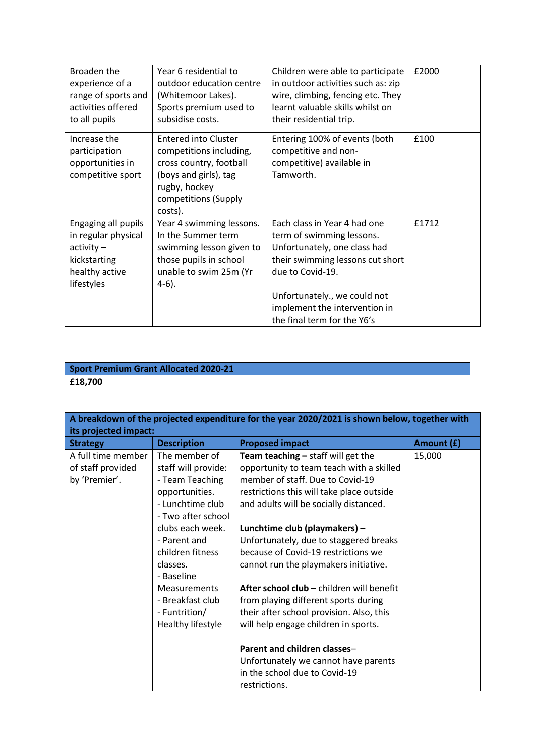| Broaden the<br>experience of a<br>range of sports and<br>activities offered<br>to all pupils               | Year 6 residential to<br>outdoor education centre<br>(Whitemoor Lakes).<br>Sports premium used to<br>subsidise costs.                                          | Children were able to participate<br>in outdoor activities such as: zip<br>wire, climbing, fencing etc. They<br>learnt valuable skills whilst on<br>their residential trip.                                                                       | £2000 |
|------------------------------------------------------------------------------------------------------------|----------------------------------------------------------------------------------------------------------------------------------------------------------------|---------------------------------------------------------------------------------------------------------------------------------------------------------------------------------------------------------------------------------------------------|-------|
| Increase the<br>participation<br>opportunities in<br>competitive sport                                     | <b>Entered into Cluster</b><br>competitions including,<br>cross country, football<br>(boys and girls), tag<br>rugby, hockey<br>competitions (Supply<br>costs). | Entering 100% of events (both<br>competitive and non-<br>competitive) available in<br>Tamworth.                                                                                                                                                   | £100  |
| Engaging all pupils<br>in regular physical<br>$activity -$<br>kickstarting<br>healthy active<br>lifestyles | Year 4 swimming lessons.<br>In the Summer term<br>swimming lesson given to<br>those pupils in school<br>unable to swim 25m (Yr<br>$4-6$ ).                     | Each class in Year 4 had one<br>term of swimming lessons.<br>Unfortunately, one class had<br>their swimming lessons cut short<br>due to Covid-19.<br>Unfortunately., we could not<br>implement the intervention in<br>the final term for the Y6's | £1712 |

#### **Sport Premium Grant Allocated 2020-21 £18,700**

| A breakdown of the projected expenditure for the year 2020/2021 is shown below, together with |                                                                                                                     |                                                                                                                                                                                                             |            |  |  |
|-----------------------------------------------------------------------------------------------|---------------------------------------------------------------------------------------------------------------------|-------------------------------------------------------------------------------------------------------------------------------------------------------------------------------------------------------------|------------|--|--|
| its projected impact:                                                                         |                                                                                                                     |                                                                                                                                                                                                             |            |  |  |
| <b>Strategy</b>                                                                               | <b>Description</b>                                                                                                  | <b>Proposed impact</b>                                                                                                                                                                                      | Amount (£) |  |  |
| A full time member<br>of staff provided<br>by 'Premier'.                                      | The member of<br>staff will provide:<br>- Team Teaching<br>opportunities.<br>- Lunchtime club<br>- Two after school | Team teaching $-$ staff will get the<br>opportunity to team teach with a skilled<br>member of staff. Due to Covid-19<br>restrictions this will take place outside<br>and adults will be socially distanced. | 15,000     |  |  |
|                                                                                               | clubs each week.<br>- Parent and<br>children fitness<br>classes.<br>- Baseline                                      | Lunchtime club (playmakers) -<br>Unfortunately, due to staggered breaks<br>because of Covid-19 restrictions we<br>cannot run the playmakers initiative.                                                     |            |  |  |
|                                                                                               | <b>Measurements</b><br>- Breakfast club<br>- Funtrition/<br>Healthy lifestyle                                       | <b>After school club – children will benefit</b><br>from playing different sports during<br>their after school provision. Also, this<br>will help engage children in sports.                                |            |  |  |
|                                                                                               |                                                                                                                     | Parent and children classes-<br>Unfortunately we cannot have parents<br>in the school due to Covid-19<br>restrictions.                                                                                      |            |  |  |